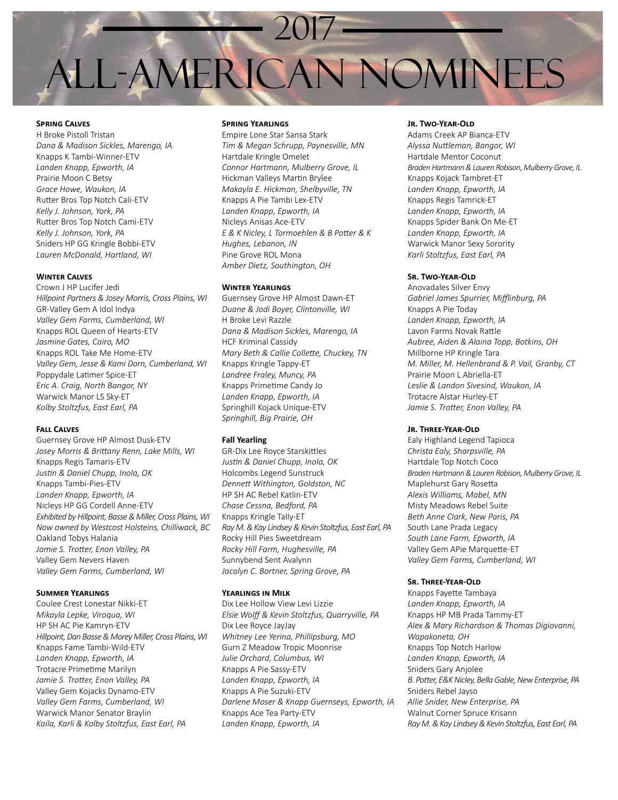

## **Spring Calves**

H Broke Pistoll Tristan *Dana & Madison Sickles, Marengo, IA* Knapps K Tambi-Winner-ETV *Landen Knapp, Epworth, IA* Prairie Moon C Betsy *Grace Howe, Waukon, IA* Rutter Bros Top Notch Cali-ETV *Kelly J. Johnson, York, PA* Rutter Bros Top Notch Cami-ETV *Kelly J. Johnson, York, PA* Sniders HP GG Kringle Bobbi-ETV *Lauren McDonald, Hartland, WI*

## **Winter Calves**

Crown J HP Lucifer Jedi *Hillpoint Partners & Josey Morris, Cross Plains, WI* GR-Valley Gem A Idol Indya *Valley Gem Farms, Cumberland, WI* Knapps ROL Queen of Hearts-ETV *Jasmine Gates, Cairo, MO* Knapps ROL Take Me Home-ETV *Valley Gem, Jesse & Kami Dorn, Cumberland, WI* Poppydale Latimer Spice-ET *Eric A. Craig, North Bangor, NY* Warwick Manor LS Sky-ET *Kolby Stoltzfus, East Earl, PA*

#### **Fall Calves**

Guernsey Grove HP Almost Dusk-ETV *Josey Morris & Brittany Renn, Lake Mills, WI* Knapps Regis Tamaris-ETV *Justin & Daniel Chupp, Inola, OK* Knapps Tambi-Pies-ETV *Landen Knapp, Epworth, IA* Nicleys HP GG Cordell Anne-ETV *Exhibited by Hillpoint, Basse & Miller, Cross Plains, WI Now owned by Westcost Holsteins, Chilliwack, BC* Oakland Tobys Halania *Jamie S. Trotter, Enon Valley, PA* Valley Gem Nevers Haven *Valley Gem Farms, Cumberland, WI*

### **Summer Yearlings**

Coulee Crest Lonestar Nikki-ET *Mikayla Lepke, Viroqua, WI* HP SH AC Pie Kamryn-ETV *Hillpoint, Dan Basse & Morey Miller, Cross Plains, WI* Knapps Fame Tambi-Wild-ETV *Landen Knapp, Epworth, IA* Trotacre Primetime Marilyn *Jamie S. Trotter, Enon Valley, PA* Valley Gem Kojacks Dynamo-ETV *Valley Gem Farms, Cumberland, WI* Warwick Manor Senator Braylin *Kaila, Karli & Kolby Stoltzfus, East Earl, PA*

## **Spring Yearlings**

Empire Lone Star Sansa Stark *Tim & Megan Schrupp, Paynesville, MN* Hartdale Kringle Omelet *Connor Hartmann, Mulberry Grove, IL* Hickman Valleys Martin Brylee *Makayla E. Hickman, Shelbyville, TN* Knapps A Pie Tambi Lex-ETV *Landen Knapp, Epworth, IA* Nicleys Anisas Ace-ETV *E & K Nicley, L Tormoehlen & B Potter & K Hughes, Lebanon, IN* Pine Grove ROL Mona *Amber Dietz, Southington, OH*

## **Winter Yearlings**

Guernsey Grove HP Almost Dawn-ET *Duane & Jodi Boyer, Clintonville, WI* H Broke Levi Razzle *Dana & Madison Sickles, Marengo, IA* HCF Kriminal Cassidy *Mary Beth & Callie Collette, Chuckey, TN* Knapps Kringle Tappy-ET *Landree Fraley, Muncy, PA* Knapps Primetime Candy Jo *Landen Knapp, Epworth, IA* Springhill Kojack Unique-ETV *Springhill, Big Prairie, OH*

## **Fall Yearling**

GR-Dix Lee Royce Starskittles *Justin & Daniel Chupp, Inola, OK* Holcombs Legend Sunstruck *Dennett Withington, Goldston, NC* HP SH AC Rebel Katlin-ETV *Chase Cessna, Bedford, PA* Knapps Kringle Tally-ET *Ray M. & Kay Lindsey & Kevin Stoltzfus, East Earl, PA* Rocky Hill Pies Sweetdream *Rocky Hill Farm, Hughesville, PA* Sunnybend Sent Avalynn *Jacalyn C. Bortner, Spring Grove, PA*

## **Yearlings in Milk**

Dix Lee Hollow View Levi Lizzie *Elsie Wolff & Kevin Stoltzfus, Quarryville, PA* Dix Lee Royce JayJay *Whitney Lee Yerina, Phillipsburg, MO* Gurn Z Meadow Tropic Moonrise *Julie Orchard, Columbus, WI* Knapps A Pie Sassy-ETV *Landen Knapp, Epworth, IA* Knapps A Pie Suzuki-ETV *Darlene Moser & Knapp Guernseys, Epworth, IA* Knapps Ace Tea Party-ETV *Landen Knapp, Epworth, IA*

## **Jr. Two-Year-Old**

Adams Creek AP Bianca-ETV *Alyssa Nuttleman, Bangor, WI* Hartdale Mentor Coconut *Braden Hartmann & Lauren Robison, Mulberry Grove, IL* Knapps Kojack Tambret-ET *Landen Knapp, Epworth, IA* Knapps Regis Tamrick-ET *Landen Knapp, Epworth, IA* Knapps Spider Bank On Me-ET *Landen Knapp, Epworth, IA* Warwick Manor Sexy Sorority *Karli Stoltzfus, East Earl, PA*

#### **Sr. Two-Year-Old**

Anovadales Silver Envy *Gabriel James Spurrier, Mifflinburg, PA* Knapps A Pie Today *Landen Knapp, Epworth, IA* Lavon Farms Novak Rattle *Aubree, Aiden & Alaina Topp, Botkins, OH* Millborne HP Kringle Tara *M. Miller, M. Hellenbrand & P. Vail, Granby, CT* Prairie Moon L Abriella-ET *Leslie & Landon Sivesind, Waukon, IA* Trotacre Alstar Hurley-ET *Jamie S. Trotter, Enon Valley, PA*

## **Jr. Three-Year-Old**

Ealy Highland Legend Tapioca *Christa Ealy, Sharpsville, PA* Hartdale Top Notch Coco *Braden Hartmann & Lauren Robison, Mulberry Grove, IL* Maplehurst Gary Rosetta *Alexis Williams, Mabel, MN* Misty Meadows Rebel Suite *Beth Anne Clark, New Paris, PA* South Lane Prada Legacy *South Lane Farm, Epworth, IA* Valley Gem APie Marquette-ET *Valley Gem Farms, Cumberland, WI*

## **Sr. Three-Year-Old**

Knapps Fayette Tambaya *Landen Knapp, Epworth, IA* Knapps HP MB Prada Tammy-ET *Alex & Mary Richardson & Thomas Digiovanni, Wapakoneta, OH* Knapps Top Notch Harlow *Landen Knapp, Epworth, IA* Sniders Gary Anjolee *B. Potter, E&K Nicley, Bella Gable, New Enterprise, PA* Sniders Rebel Jayso *Allie Snider, New Enterprise, PA* Walnut Corner Spruce Krisann *Ray M. & Kay Lindsey & Kevin Stoltzfus, East Earl, PA*